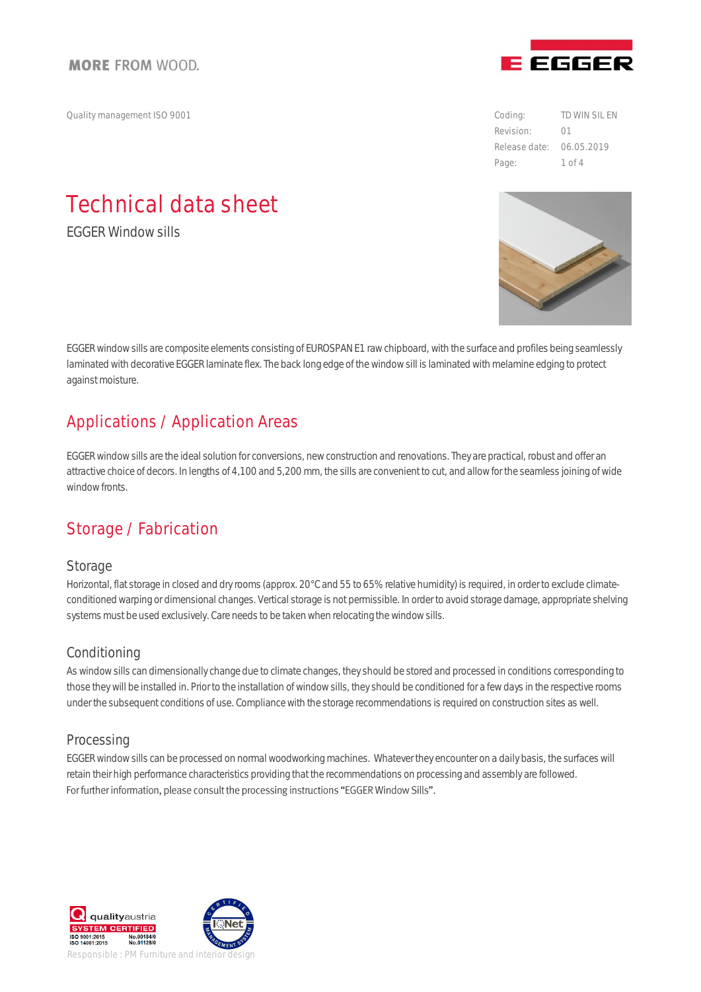Quality management ISO 9001 Coding:

# Technical data sheet

EGGER Window sills

EGGER window sills are composite elements consisting of EUROSPAN E1 raw chipboard, with the surface and profiles being seamlessly laminated with decorative EGGER laminate flex. The back long edge of the window sill is laminated with melamine edging to protect against moisture.

### Applications / Application Areas

EGGER window sills are the ideal solution for conversions, new construction and renovations. They are practical, robust and offer an attractive choice of decors. In lengths of 4,100 and 5,200 mm, the sills are convenient to cut, and allow for the seamless joining of wide window fronts.

# Storage / Fabrication

#### **Storage**

Horizontal, flat storage in closed and dry rooms (approx. 20°C and 55 to 65% relative humidity) is required, in order to exclude climateconditioned warping or dimensional changes. Vertical storage is not permissible. In order to avoid storage damage, appropriate shelving systems must be used exclusively. Care needs to be taken when relocating the window sills.

#### Conditioning

As window sills can dimensionally change due to climate changes, they should be stored and processed in conditions corresponding to those they will be installed in. Prior to the installation of window sills, they should be conditioned for a few days in the respective rooms under the subsequent conditions of use. Compliance with the storage recommendations is required on construction sites as well.

#### **Processing**

EGGER window sills can be processed on normal woodworking machines. Whatever they encounter on a daily basis, the surfaces will retain their high performance characteristics providing that the recommendations on processing and assembly are followed. For further information, please consult the processing instructions "EGGER Window Sills".





Revision: Release date: 06.05.2019 TD WIN SIL EN 01 Page: 1 of 4

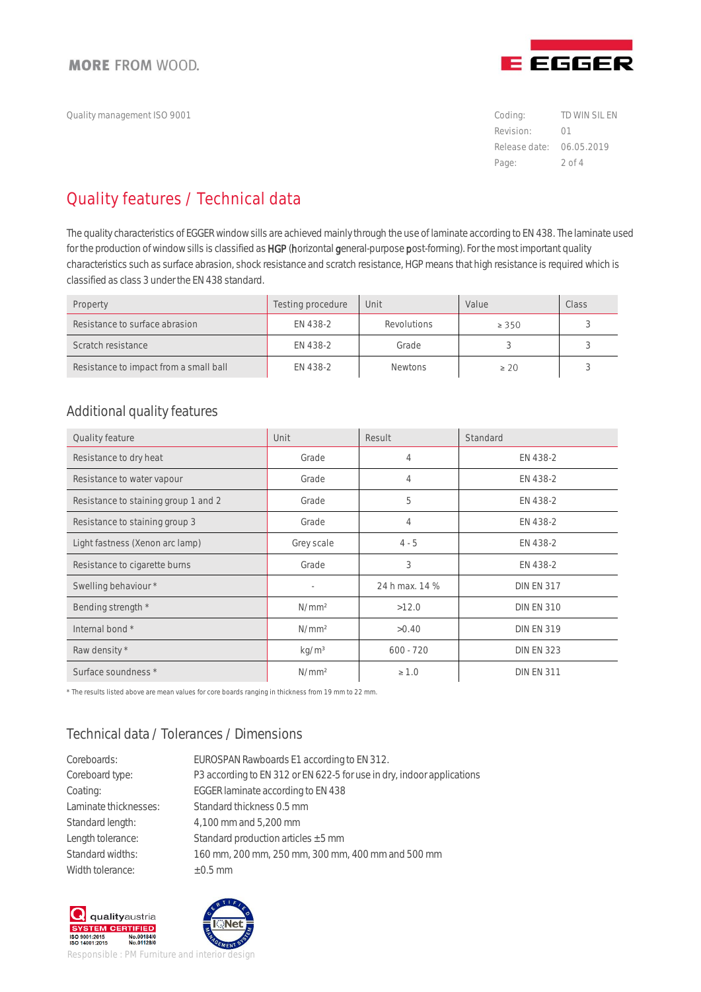Quality management ISO 9001 Coding:



Revision: Release date: 06.05.2019 TD WIN SIL EN 01 Page: 2 of 4

# Quality features / Technical data

The quality characteristics of EGGER window sills are achieved mainly through the use of laminate according to EN 438. The laminate used for the production of window sills is classified as HGP (horizontal general-purpose post-forming). For the most important quality characteristics such as surface abrasion, shock resistance and scratch resistance, HGP means that high resistance is requiredwhich is classified as class 3 under the EN 438 standard.

| Property                               | Testing procedure | Unit               | Value     | Class |
|----------------------------------------|-------------------|--------------------|-----------|-------|
| Resistance to surface abrasion         | FN 438-2          | <b>Revolutions</b> | > 350     |       |
| Scratch resistance                     | FN 438-2          | Grade              |           |       |
| Resistance to impact from a small ball | EN 438-2          | <b>Newtons</b>     | $\geq 20$ |       |

#### Additional quality features

| Quality feature                      | Unit              | Result         | Standard          |
|--------------------------------------|-------------------|----------------|-------------------|
| Resistance to dry heat               | Grade             | 4              | EN 438-2          |
| Resistance to water vapour           | Grade             | 4              | EN 438-2          |
| Resistance to staining group 1 and 2 | Grade             | 5              | EN 438-2          |
| Resistance to staining group 3       | Grade             | 4              | EN 438-2          |
| Light fastness (Xenon arc lamp)      | Grey scale        | $4 - 5$        | EN 438-2          |
| Resistance to cigarette burns        | Grade             | 3              | EN 438-2          |
| Swelling behaviour *                 | ٠                 | 24 h max. 14 % | <b>DIN EN 317</b> |
| Bending strength *                   | N/mm <sup>2</sup> | >12.0          | <b>DIN EN 310</b> |
| Internal bond *                      | N/mm <sup>2</sup> | > 0.40         | <b>DIN EN 319</b> |
| Raw density *                        | kg/m <sup>3</sup> | $600 - 720$    | <b>DIN EN 323</b> |
| Surface soundness *                  | N/mm <sup>2</sup> | $\geq 1.0$     | <b>DIN EN 311</b> |

\* The results listed above are mean values for core boards ranging in thickness from 19 mm to 22 mm.

### Technical data / Tolerances / Dimensions

| Coreboards:           | EUROSPAN Rawboards E1 according to EN 312.                             |
|-----------------------|------------------------------------------------------------------------|
| Coreboard type:       | P3 according to EN 312 or EN 622-5 for use in dry, indoor applications |
| Coating:              | EGGER laminate according to EN 438                                     |
| Laminate thicknesses: | Standard thickness 0.5 mm                                              |
| Standard length:      | 4,100 mm and 5,200 mm                                                  |
| Length tolerance:     | Standard production articles $\pm$ 5 mm                                |
| Standard widths:      | 160 mm, 200 mm, 250 mm, 300 mm, 400 mm and 500 mm                      |
| Width tolerance:      | $\pm$ 0.5 mm                                                           |
|                       |                                                                        |





Responsible : PM Furniture and interior design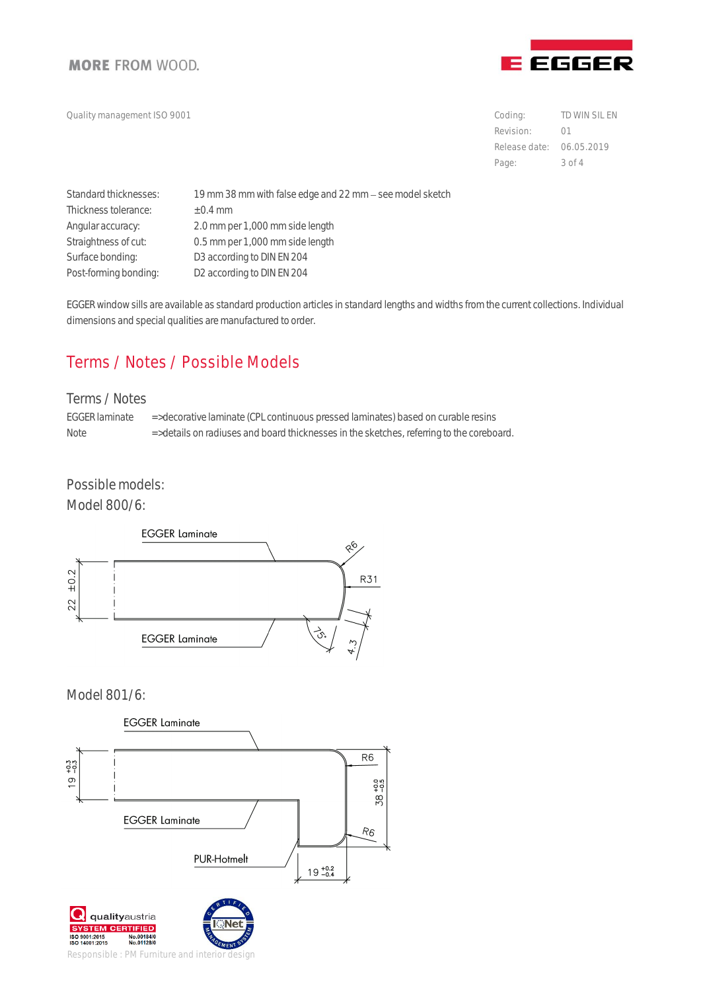

Quality management ISO 9001 Coding:

Revision: Release date: 06.05.2019 TD WIN SIL EN 01 Page: 3 of 4

| Standard thicknesses: | 19 mm 38 mm with false edge and 22 mm - see model sketch |
|-----------------------|----------------------------------------------------------|
| Thickness tolerance:  | $\pm$ 0.4 mm                                             |
| Angular accuracy:     | 2.0 mm per 1,000 mm side length                          |
| Straightness of cut:  | 0.5 mm per 1,000 mm side length                          |
| Surface bonding:      | D3 according to DIN EN 204                               |
| Post-forming bonding: | D2 according to DIN EN 204                               |

EGGER window sills are available as standard production articles in standard lengths and widths from the current collections. Individual dimensions and special qualities are manufactured to order.

# Terms / Notes / Possible Models

#### Terms / Notes

EGGER laminate => decorative laminate (CPL continuous pressed laminates) based on curable resins Note  $\Rightarrow$  details on radiuses and board thicknesses in the sketches, referring to the coreboard.

Possible models:

Model 800/6:



Model 801/6:



Responsible : PM Furniture and interior design